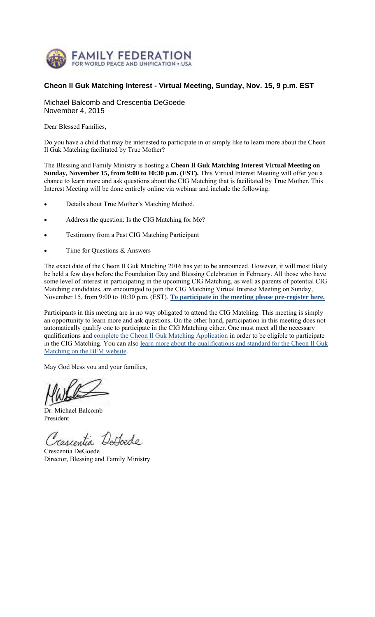

# **Cheon Il Guk Matching Interest - Virtual Meeting, Sunday, Nov. 15, 9 p.m. EST**

Michael Balcomb and Crescentia DeGoede November 4, 2015

Dear Blessed Families,

Do you have a child that may be interested to participate in or simply like to learn more about the Cheon Il Guk Matching facilitated by True Mother?

The Blessing and Family Ministry is hosting a **Cheon Il Guk Matching Interest Virtual Meeting on Sunday, November 15, from 9:00 to 10:30 p.m. (EST).** This Virtual Interest Meeting will offer you a chance to learn more and ask questions about the CIG Matching that is facilitated by True Mother. This Interest Meeting will be done entirely online via webinar and include the following:

- Details about True Mother's Matching Method.
- Address the question: Is the CIG Matching for Me?
- Testimony from a Past CIG Matching Participant
- Time for Questions & Answers

The exact date of the Cheon Il Guk Matching 2016 has yet to be announced. However, it will most likely be held a few days before the Foundation Day and Blessing Celebration in February. All those who have some level of interest in participating in the upcoming CIG Matching, as well as parents of potential CIG Matching candidates, are encouraged to join the CIG Matching Virtual Interest Meeting on Sunday, November 15, from 9:00 to 10:30 p.m. (EST). **To participate in the meeting please pre-register here.**

Participants in this meeting are in no way obligated to attend the CIG Matching. This meeting is simply an opportunity to learn more and ask questions. On the other hand, participation in this meeting does not automatically qualify one to participate in the CIG Matching either. One must meet all the necessary qualifications and complete the Cheon Il Guk Matching Application in order to be eligible to participate in the CIG Matching. You can also learn more about the qualifications and standard for the Cheon Il Guk Matching on the BFM website.

May God bless you and your families,

Dr. Michael Balcomb President

Trescentia Detoede

Crescentia DeGoede Director, Blessing and Family Ministry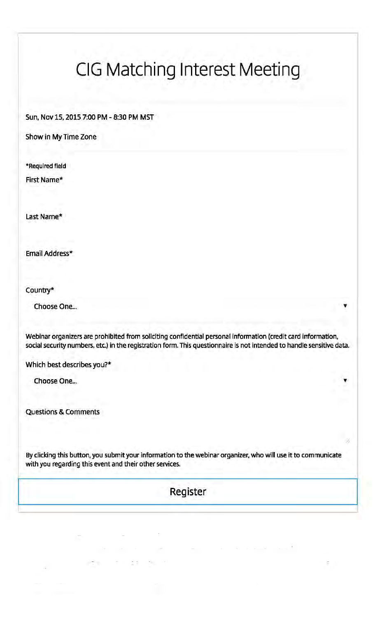# CIG Matching Interest Meeting

Sun, Nov 15, 2015 7:00 PM - 8:30 PM MST

Show in My Time Zone

\*Required field

First Name\*

Last Name\*

Email Address\*

Country\*

Choose One...

Webinar organizers are prohibited from soliciting confidential personal information (credit card information, social security numbers, etc.) in the registration form. This questionnaire is not intended to handle sensitive data.

Which best describes you?\*

Choose One...

Questions & Comments

By clicking this button, you submit your information to the webinar organizer, who will use it to communicate with you regarding this event and their other services.

Register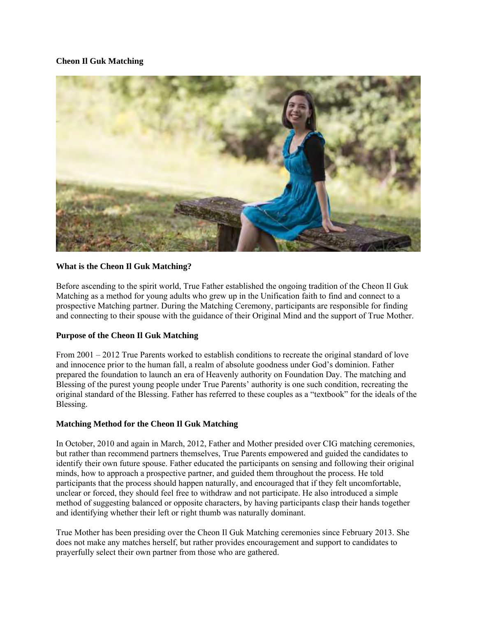#### **Cheon Il Guk Matching**



#### **What is the Cheon Il Guk Matching?**

Before ascending to the spirit world, True Father established the ongoing tradition of the Cheon Il Guk Matching as a method for young adults who grew up in the Unification faith to find and connect to a prospective Matching partner. During the Matching Ceremony, participants are responsible for finding and connecting to their spouse with the guidance of their Original Mind and the support of True Mother.

#### **Purpose of the Cheon Il Guk Matching**

From 2001 – 2012 True Parents worked to establish conditions to recreate the original standard of love and innocence prior to the human fall, a realm of absolute goodness under God's dominion. Father prepared the foundation to launch an era of Heavenly authority on Foundation Day. The matching and Blessing of the purest young people under True Parents' authority is one such condition, recreating the original standard of the Blessing. Father has referred to these couples as a "textbook" for the ideals of the Blessing.

### **Matching Method for the Cheon Il Guk Matching**

In October, 2010 and again in March, 2012, Father and Mother presided over CIG matching ceremonies, but rather than recommend partners themselves, True Parents empowered and guided the candidates to identify their own future spouse. Father educated the participants on sensing and following their original minds, how to approach a prospective partner, and guided them throughout the process. He told participants that the process should happen naturally, and encouraged that if they felt uncomfortable, unclear or forced, they should feel free to withdraw and not participate. He also introduced a simple method of suggesting balanced or opposite characters, by having participants clasp their hands together and identifying whether their left or right thumb was naturally dominant.

True Mother has been presiding over the Cheon Il Guk Matching ceremonies since February 2013. She does not make any matches herself, but rather provides encouragement and support to candidates to prayerfully select their own partner from those who are gathered.